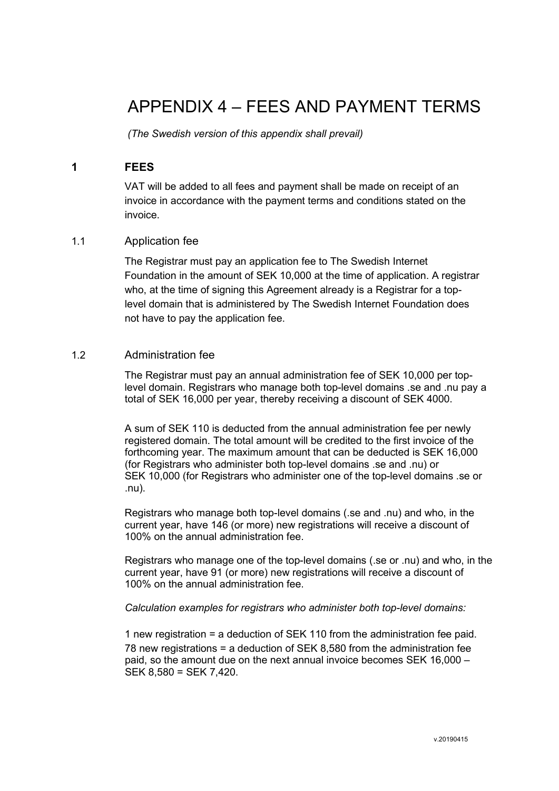# APPENDIX 4 – FEES AND PAYMENT TERMS

*(The Swedish version of this appendix shall prevail)*

# **1 FEES**

VAT will be added to all fees and payment shall be made on receipt of an invoice in accordance with the payment terms and conditions stated on the invoice.

## 1.1 Application fee

The Registrar must pay an application fee to The Swedish Internet Foundation in the amount of SEK 10,000 at the time of application. A registrar who, at the time of signing this Agreement already is a Registrar for a toplevel domain that is administered by The Swedish Internet Foundation does not have to pay the application fee.

## 1.2 Administration fee

The Registrar must pay an annual administration fee of SEK 10,000 per toplevel domain. Registrars who manage both top-level domains .se and .nu pay a total of SEK 16,000 per year, thereby receiving a discount of SEK 4000.

A sum of SEK 110 is deducted from the annual administration fee per newly registered domain. The total amount will be credited to the first invoice of the forthcoming year. The maximum amount that can be deducted is SEK 16,000 (for Registrars who administer both top-level domains .se and .nu) or SEK 10,000 (for Registrars who administer one of the top-level domains .se or .nu).

Registrars who manage both top-level domains (.se and .nu) and who, in the current year, have 146 (or more) new registrations will receive a discount of 100% on the annual administration fee.

Registrars who manage one of the top-level domains (.se or .nu) and who, in the current year, have 91 (or more) new registrations will receive a discount of 100% on the annual administration fee.

#### *Calculation examples for registrars who administer both top-level domains:*

1 new registration = a deduction of SEK 110 from the administration fee paid. 78 new registrations = a deduction of SEK 8,580 from the administration fee paid, so the amount due on the next annual invoice becomes SEK 16,000 – SEK 8,580 = SEK 7,420.